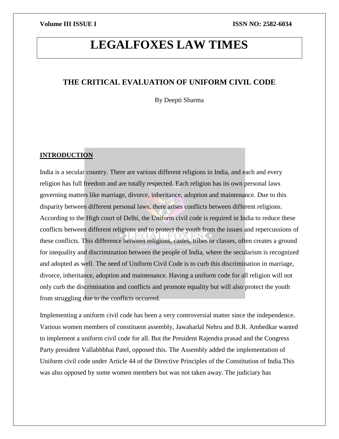# **LEGALFOXES LAW TIMES**

# **THE CRITICAL EVALUATION OF UNIFORM CIVIL CODE**

By Deepti Sharma

## **INTRODUCTION**

India is a secular country. There are various different religions in India, and each and every religion has full freedom and are totally respected. Each religion has its own personal laws governing matters like marriage, divorce, inheritance, adoption and maintenance. Due to this disparity between different personal laws, there arises conflicts between different religions. According to the High court of Delhi, the Uniform civil code is required in India to reduce these conflicts between different religions and to protect the youth from the issues and repercussions of these conflicts. This difference between religions, castes, tribes or classes, often creates a ground for inequality and discrimination between the people of India, where the secularism is recognized and adopted as well. The need of Uniform Civil Code is to curb this discrimination in marriage, divorce, inheritance, adoption and maintenance. Having a uniform code for all religion will not only curb the discrimination and conflicts and promote equality but will also protect the youth from struggling due to the conflicts occurred.

Implementing a uniform civil code has been a very controversial matter since the independence. Various women members of constituent assembly, Jawaharlal Nehru and B.R. Ambedkar wanted to implement a uniform civil code for all. But the President Rajendra prasad and the Congress Party president Vallabhbhai Patel, opposed this. The Assembly added the implementation of Uniform civil code under Article 44 of the Directive Principles of the Constitution of India.This was also opposed by some women members but was not taken away. The judiciary has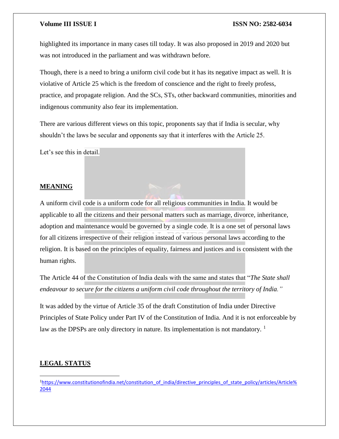highlighted its importance in many cases till today. It was also proposed in 2019 and 2020 but was not introduced in the parliament and was withdrawn before.

Though, there is a need to bring a uniform civil code but it has its negative impact as well. It is violative of Article 25 which is the freedom of conscience and the right to freely profess, practice, and propagate religion. And the SCs, STs, other backward communities, minorities and indigenous community also fear its implementation.

There are various different views on this topic, proponents say that if India is secular, why shouldn't the laws be secular and opponents say that it interferes with the Article 25.

Let's see this in detail.

### **MEANING**

A uniform civil code is a uniform code for all religious communities in India. It would be applicable to all the citizens and their personal matters such as marriage, divorce, inheritance, adoption and maintenance would be governed by a single code. It is a one set of personal laws for all citizens irrespective of their religion instead of various personal laws according to the religion. It is based on the principles of equality, fairness and justices and is consistent with the human rights.

The Article 44 of the Constitution of India deals with the same and states that "*The State shall endeavour to secure for the citizens a uniform civil code throughout the territory of India."* 

It was added by the virtue of Article 35 of the draft Constitution of India under Directive Principles of State Policy under Part IV of the Constitution of India. And it is not enforceable by law as the DPSPs are only directory in nature. Its implementation is not mandatory.<sup>1</sup>

### **LEGAL STATUS**

 $\overline{a}$ 

<sup>1</sup>[https://www.constitutionofindia.net/constitution\\_of\\_india/directive\\_principles\\_of\\_state\\_policy/articles/Article%](https://www.constitutionofindia.net/constitution_of_india/directive_principles_of_state_policy/articles/Article%2044) [2044](https://www.constitutionofindia.net/constitution_of_india/directive_principles_of_state_policy/articles/Article%2044)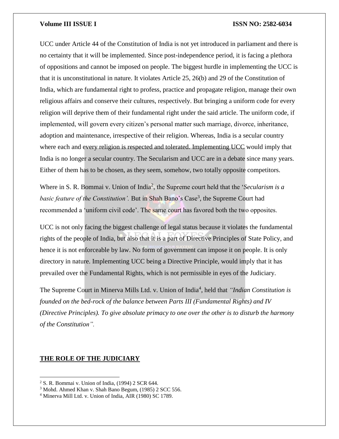UCC under Article 44 of the Constitution of India is not yet introduced in parliament and there is no certainty that it will be implemented. Since post-independence period, it is facing a plethora of oppositions and cannot be imposed on people. The biggest hurdle in implementing the UCC is that it is unconstitutional in nature. It violates Article 25, 26(b) and 29 of the Constitution of India, which are fundamental right to profess, practice and propagate religion, manage their own religious affairs and conserve their cultures, respectively. But bringing a uniform code for every religion will deprive them of their fundamental right under the said article. The uniform code, if implemented, will govern every citizen's personal matter such marriage, divorce, inheritance, adoption and maintenance, irrespective of their religion. Whereas, India is a secular country where each and every religion is respected and tolerated. Implementing UCC would imply that India is no longer a secular country. The Secularism and UCC are in a debate since many years. Either of them has to be chosen, as they seem, somehow, two totally opposite competitors.

Where in S. R. Bommai v. Union of India<sup>2</sup>, the Supreme court held that the '*Secularism is a* basic feature of the Constitution'. But in Shah Bano's Case<sup>3</sup>, the Supreme Court had recommended a 'uniform civil code'. The same court has favored both the two opposites.

UCC is not only facing the biggest challenge of legal status because it violates the fundamental rights of the people of India, but also that it is a part of Directive Principles of State Policy, and hence it is not enforceable by law. No form of government can impose it on people. It is only directory in nature. Implementing UCC being a Directive Principle, would imply that it has prevailed over the Fundamental Rights, which is not permissible in eyes of the Judiciary.

The Supreme Court in Minerva Mills Ltd. v. Union of India<sup>4</sup>, held that "Indian Constitution is *founded on the bed-rock of the balance between Parts III (Fundamental Rights) and IV (Directive Principles). To give absolute primacy to one over the other is to disturb the harmony of the Constitution".* 

### **THE ROLE OF THE JUDICIARY**

 $\overline{\phantom{a}}$ 

<sup>2</sup> S. R. Bommai v. Union of India, (1994) 2 SCR 644.

<sup>3</sup> Mohd. Ahmed Khan v. Shah Bano Begum, (1985) 2 SCC 556.

<sup>4</sup> Minerva Mill Ltd. v. Union of India, AIR (1980) SC 1789.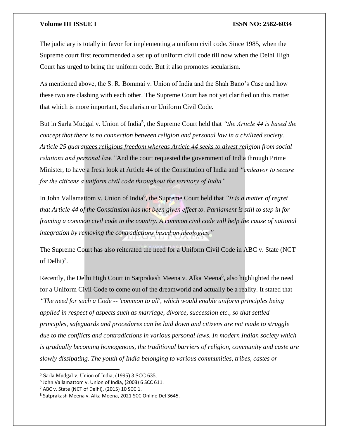The judiciary is totally in favor for implementing a uniform civil code. Since 1985, when the Supreme court first recommended a set up of uniform civil code till now when the Delhi High Court has urged to bring the uniform code. But it also promotes secularism.

As mentioned above, the S. R. Bommai v. Union of India and the Shah Bano's Case and how these two are clashing with each other. The Supreme Court has not yet clarified on this matter that which is more important, Secularism or Uniform Civil Code.

But in Sarla Mudgal v. Union of India<sup>5</sup>, the Supreme Court held that *"the Article 44 is based the concept that there is no connection between religion and personal law in a civilized society. Article 25 guarantees religious freedom whereas Article 44 seeks to divest religion from social relations and personal law."*And the court requested the government of India through Prime Minister, to have a fresh look at Article 44 of the Constitution of India and *"endeavor to secure for the citizens a uniform civil code throughout the territory of India"*

In John Vallamattom v. Union of India<sup>6</sup>, the Supreme Court held that *"It is a matter of regret that Article 44 of the Constitution has not been given effect to. Parliament is still to step in for framing a common civil code in the country. A common civil code will help the cause of national integration by removing the contradictions based on ideologies."*

The Supreme Court has also reiterated the need for a Uniform Civil Code in ABC v. State (NCT of Delhi $)^7$ .

Recently, the Delhi High Court in Satprakash Meena v. Alka Meena<sup>8</sup>, also highlighted the need for a Uniform Civil Code to come out of the dreamworld and actually be a reality. It stated that *"The need for such a Code -- 'common to all', which would enable uniform principles being applied in respect of aspects such as marriage, divorce, succession etc., so that settled principles, safeguards and procedures can be laid down and citizens are not made to struggle due to the conflicts and contradictions in various personal laws. In modern Indian society which is gradually becoming homogenous, the traditional barriers of religion, community and caste are slowly dissipating. The youth of India belonging to various communities, tribes, castes or* 

l

<sup>&</sup>lt;sup>5</sup> Sarla Mudgal v. Union of India, (1995) 3 SCC 635.

<sup>6</sup> John Vallamattom v. Union of India, (2003) 6 SCC 611.

 $<sup>7</sup>$  ABC v. State (NCT of Delhi), (2015) 10 SCC 1.</sup>

<sup>8</sup> Satprakash Meena v. Alka Meena, 2021 SCC Online Del 3645.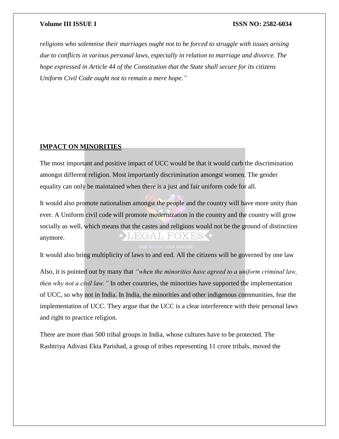*religions who solemnise their marriages ought not to be forced to struggle with issues arising due to conflicts in various personal laws, especially in relation to marriage and divorce. The hope expressed in Article 44 of the Constitution that the State shall secure for its citizens Uniform Civil Code ought not to remain a mere hope."*

### **IMPACT ON MINORITIES**

The most important and positive impact of UCC would be that it would curb the discrimination amongst different religion. Most importantly discrimination amongst women. The gender equality can only be maintained when there is a just and fair uniform code for all.

It would also promote nationalism amongst the people and the country will have more unity than ever. A Uniform civil code will promote modernization in the country and the country will grow socially as well, which means that the castes and religions would not be the ground of distinction  $\mathbb{L}$   $\mathbb{H}^{\prime}$ anymore.

It would also bring multiplicity of laws to and end. All the citizens will be governed by one law

Also, it is pointed out by many that *"when the minorities have agreed to a uniform criminal law, then why not a civil law."* In other countries, the minorities have supported the implementation of UCC, so why not in India. In India, the minorities and other indigenous communities, fear the implementation of UCC. They argue that the UCC is a clear interference with their personal laws and right to practice religion.

There are more than 500 tribal groups in India, whose cultures have to be protected. The Rashtriya Adivasi Ekta Parishad, a group of tribes representing 11 crore tribals, moved the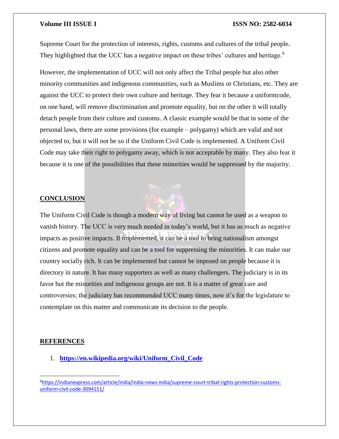Supreme Court for the protection of interests, rights, customs and cultures of the tribal people. They highlighted that the UCC has a negative impact on these tribes' cultures and heritage.<sup>9</sup>

However, the implementation of UCC will not only affect the Tribal people but also other minority communities and indigenous communities, such as Muslims or Christians, etc. They are against the UCC to protect their own culture and heritage. They fear it because a uniformcode, on one hand, will remove discrimination and promote equality, but on the other it will totally detach people from their culture and customs. A classic example would be that in some of the personal laws, there are some provisions (for example – polygamy) which are valid and not objected to, but it will not be so if the Uniform Civil Code is implemented. A Uniform Civil Code may take their right to polygamy away, which is not acceptable by many. They also fear it because it is one of the possibilities that these minorities would be suppressed by the majority.

### **CONCLUSION**

The Uniform Civil Code is though a modern way of living but cannot be used as a weapon to vanish history. The UCC is very much needed in today's world, but it has as much as negative impacts as positive impacts. If implemented, it can be a tool to bring nationalism amongst citizens and promote equality and can be a tool for suppressing the minorities. It can make our country socially rich. It can be implemented but cannot be imposed on people because it is directory in nature. It has many supporters as well as many challengers. The judiciary is in its favor but the minorities and indigenous groups are not. It is a matter of great care and controversies; the judiciary has recommended UCC many times, now it's for the legislature to contemplate on this matter and communicate its decision to the people.

### **REFERENCES**

 $\overline{a}$ 

1. **[https://en.wikipedia.org/wiki/Uniform\\_Civil\\_Code](https://en.wikipedia.org/wiki/Uniform_Civil_Code)**

<sup>9</sup>[https://indianexpress.com/article/india/india-news-india/supreme-court-tribal-rights-protection-customs](https://indianexpress.com/article/india/india-news-india/supreme-court-tribal-rights-protection-customs-uniform-civil-code-3094151/)[uniform-civil-code-3094151/](https://indianexpress.com/article/india/india-news-india/supreme-court-tribal-rights-protection-customs-uniform-civil-code-3094151/)